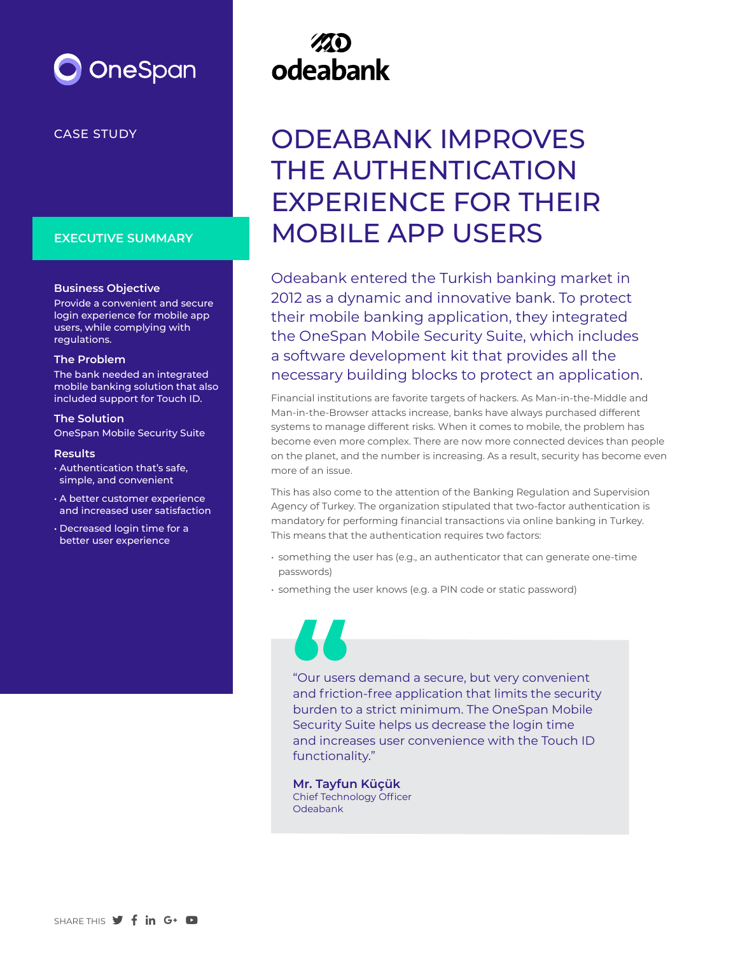## OneSpan

### CASE STUDY

### **EXECUTIVE SUMMARY**

### **Business Objective**

Provide a convenient and secure login experience for mobile app users, while complying with regulations.

### **The Problem**

The bank needed an integrated mobile banking solution that also included support for Touch ID.

### **The Solution**

OneSpan Mobile Security Suite

#### **Results**

- Authentication that's safe, simple, and convenient
- A better customer experience and increased user satisfaction
- Decreased login time for a better user experience

# odeabank

### ODEABANK IMPROVES THE AUTHENTICATION EXPERIENCE FOR THEIR MOBILE APP USERS

Odeabank entered the Turkish banking market in 2012 as a dynamic and innovative bank. To protect their mobile banking application, they integrated the OneSpan Mobile Security Suite, which includes a software development kit that provides all the necessary building blocks to protect an application.

Financial institutions are favorite targets of hackers. As Man-in-the-Middle and Man-in-the-Browser attacks increase, banks have always purchased different systems to manage different risks. When it comes to mobile, the problem has become even more complex. There are now more connected devices than people on the planet, and the number is increasing. As a result, security has become even more of an issue.

This has also come to the attention of the Banking Regulation and Supervision Agency of Turkey. The organization stipulated that two-factor authentication is mandatory for performing financial transactions via online banking in Turkey. This means that the authentication requires two factors:

- something the user has (e.g., an authenticator that can generate one-time passwords)
- something the user knows (e.g. a PIN code or static password)

"Our users demand a secure, but very convenient and friction-free application that limits the security burden to a strict minimum. The OneSpan Mobile Security Suite helps us decrease the login time and increases user convenience with the Touch ID functionality." **the Contract of Security S** 

**Mr. Tayfun Küçük** Chief Technology Officer Odeabank